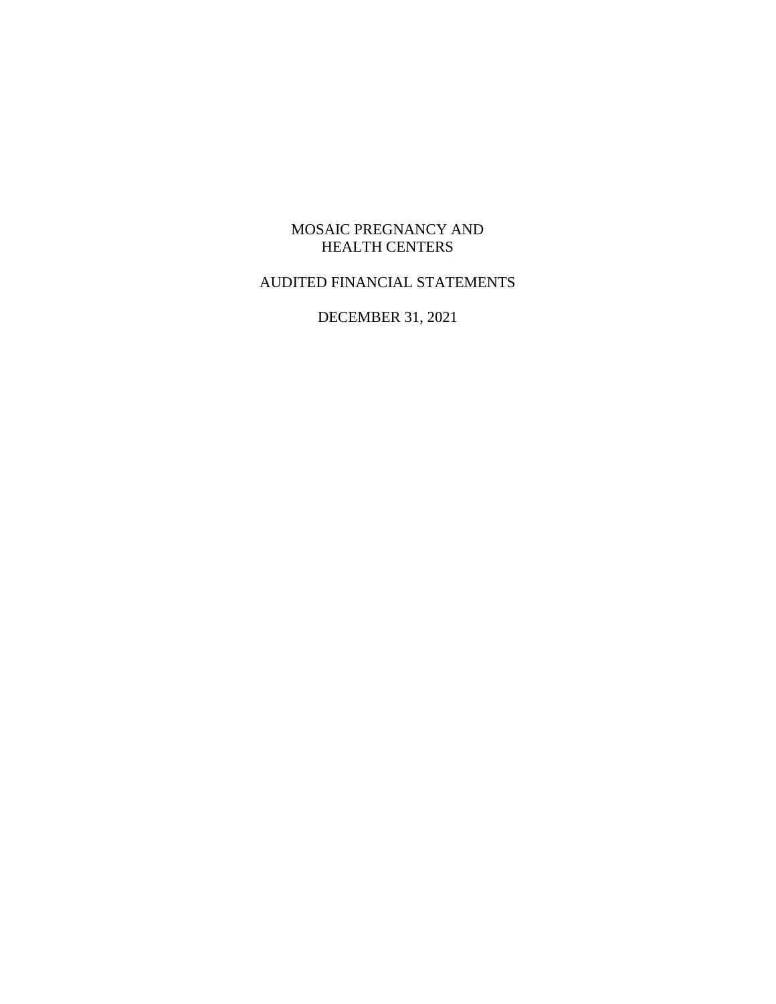# MOSAIC PREGNANCY AND HEALTH CENTERS

# AUDITED FINANCIAL STATEMENTS

DECEMBER 31, 2021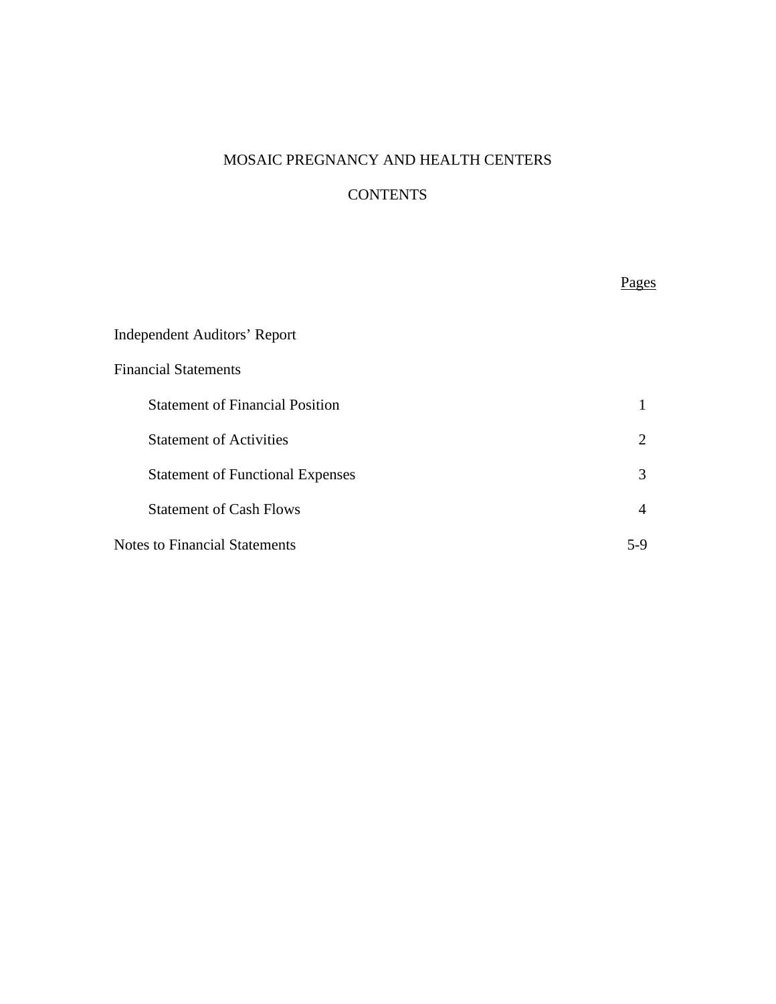# MOSAIC PREGNANCY AND HEALTH CENTERS

# **CONTENTS**

| <b>Independent Auditors' Report</b>     |                |
|-----------------------------------------|----------------|
| <b>Financial Statements</b>             |                |
| <b>Statement of Financial Position</b>  |                |
| <b>Statement of Activities</b>          | 2              |
| <b>Statement of Functional Expenses</b> | 3              |
| <b>Statement of Cash Flows</b>          | $\overline{4}$ |
| <b>Notes to Financial Statements</b>    | 5-9            |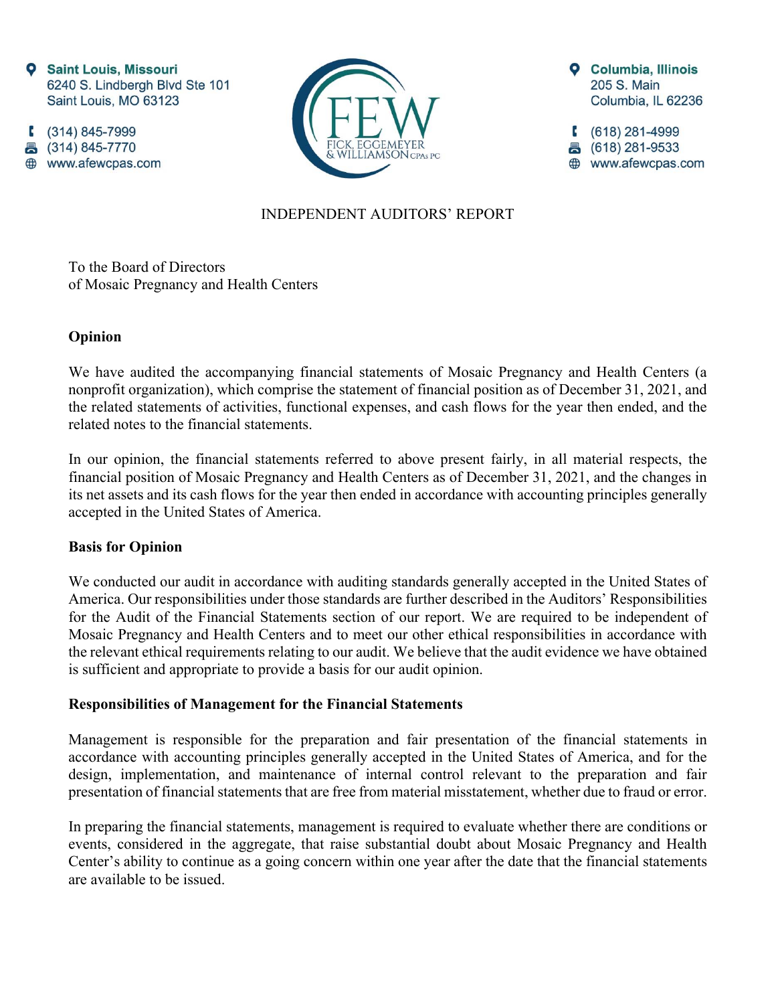**Q** Saint Louis, Missouri 6240 S. Lindbergh Blvd Ste 101 Saint Louis, MO 63123

 $(314) 845 - 7999$ ■ (314) 845-7770 www.afewcpas.com



**Q** Columbia, Illinois 205 S. Main Columbia, IL 62236

 $(618)$  281-4999 局 (618) 281-9533 **E** www.afewcpas.com

# INDEPENDENT AUDITORS' REPORT

To the Board of Directors of Mosaic Pregnancy and Health Centers

# **Opinion**

We have audited the accompanying financial statements of Mosaic Pregnancy and Health Centers (a nonprofit organization), which comprise the statement of financial position as of December 31, 2021, and the related statements of activities, functional expenses, and cash flows for the year then ended, and the related notes to the financial statements.

In our opinion, the financial statements referred to above present fairly, in all material respects, the financial position of Mosaic Pregnancy and Health Centers as of December 31, 2021, and the changes in its net assets and its cash flows for the year then ended in accordance with accounting principles generally accepted in the United States of America.

# **Basis for Opinion**

We conducted our audit in accordance with auditing standards generally accepted in the United States of America. Our responsibilities under those standards are further described in the Auditors' Responsibilities for the Audit of the Financial Statements section of our report. We are required to be independent of Mosaic Pregnancy and Health Centers and to meet our other ethical responsibilities in accordance with the relevant ethical requirements relating to our audit. We believe that the audit evidence we have obtained is sufficient and appropriate to provide a basis for our audit opinion.

# **Responsibilities of Management for the Financial Statements**

Management is responsible for the preparation and fair presentation of the financial statements in accordance with accounting principles generally accepted in the United States of America, and for the design, implementation, and maintenance of internal control relevant to the preparation and fair presentation of financial statements that are free from material misstatement, whether due to fraud or error.

In preparing the financial statements, management is required to evaluate whether there are conditions or events, considered in the aggregate, that raise substantial doubt about Mosaic Pregnancy and Health Center's ability to continue as a going concern within one year after the date that the financial statements are available to be issued.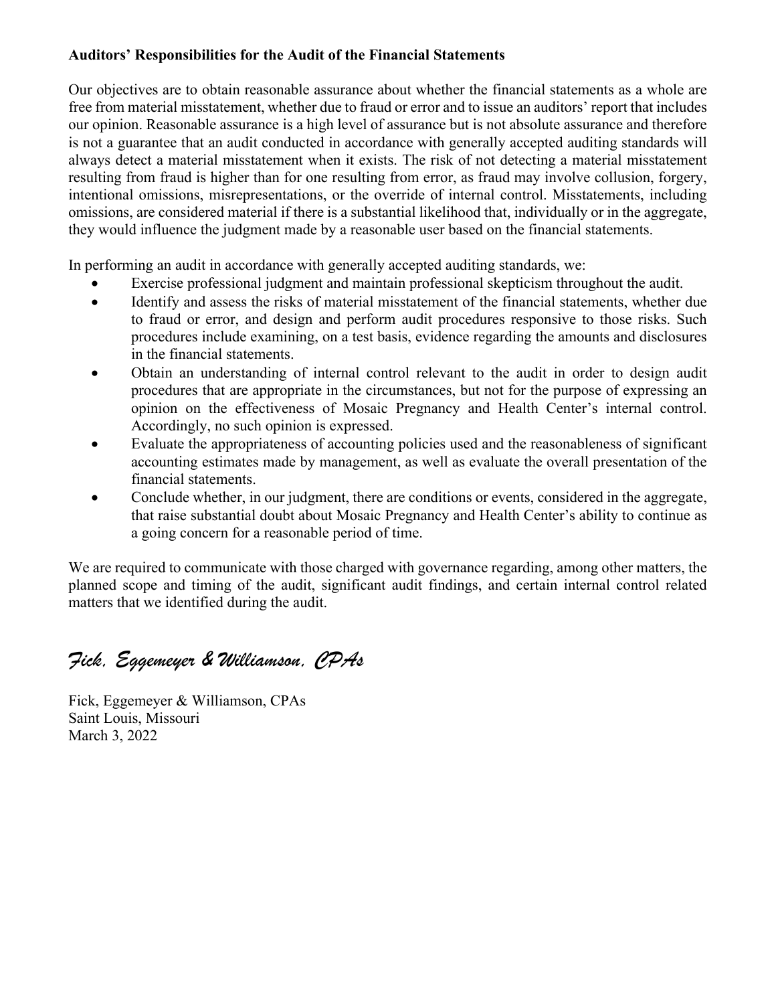# **Auditors' Responsibilities for the Audit of the Financial Statements**

Our objectives are to obtain reasonable assurance about whether the financial statements as a whole are free from material misstatement, whether due to fraud or error and to issue an auditors' report that includes our opinion. Reasonable assurance is a high level of assurance but is not absolute assurance and therefore is not a guarantee that an audit conducted in accordance with generally accepted auditing standards will always detect a material misstatement when it exists. The risk of not detecting a material misstatement resulting from fraud is higher than for one resulting from error, as fraud may involve collusion, forgery, intentional omissions, misrepresentations, or the override of internal control. Misstatements, including omissions, are considered material if there is a substantial likelihood that, individually or in the aggregate, they would influence the judgment made by a reasonable user based on the financial statements.

In performing an audit in accordance with generally accepted auditing standards, we:

- Exercise professional judgment and maintain professional skepticism throughout the audit.
- Identify and assess the risks of material misstatement of the financial statements, whether due to fraud or error, and design and perform audit procedures responsive to those risks. Such procedures include examining, on a test basis, evidence regarding the amounts and disclosures in the financial statements.
- Obtain an understanding of internal control relevant to the audit in order to design audit procedures that are appropriate in the circumstances, but not for the purpose of expressing an opinion on the effectiveness of Mosaic Pregnancy and Health Center's internal control. Accordingly, no such opinion is expressed.
- Evaluate the appropriateness of accounting policies used and the reasonableness of significant accounting estimates made by management, as well as evaluate the overall presentation of the financial statements.
- Conclude whether, in our judgment, there are conditions or events, considered in the aggregate, that raise substantial doubt about Mosaic Pregnancy and Health Center's ability to continue as a going concern for a reasonable period of time.

We are required to communicate with those charged with governance regarding, among other matters, the planned scope and timing of the audit, significant audit findings, and certain internal control related matters that we identified during the audit.

# *Fick, Eggemeyer & Williamson, CPAs*

Fick, Eggemeyer & Williamson, CPAs Saint Louis, Missouri March 3, 2022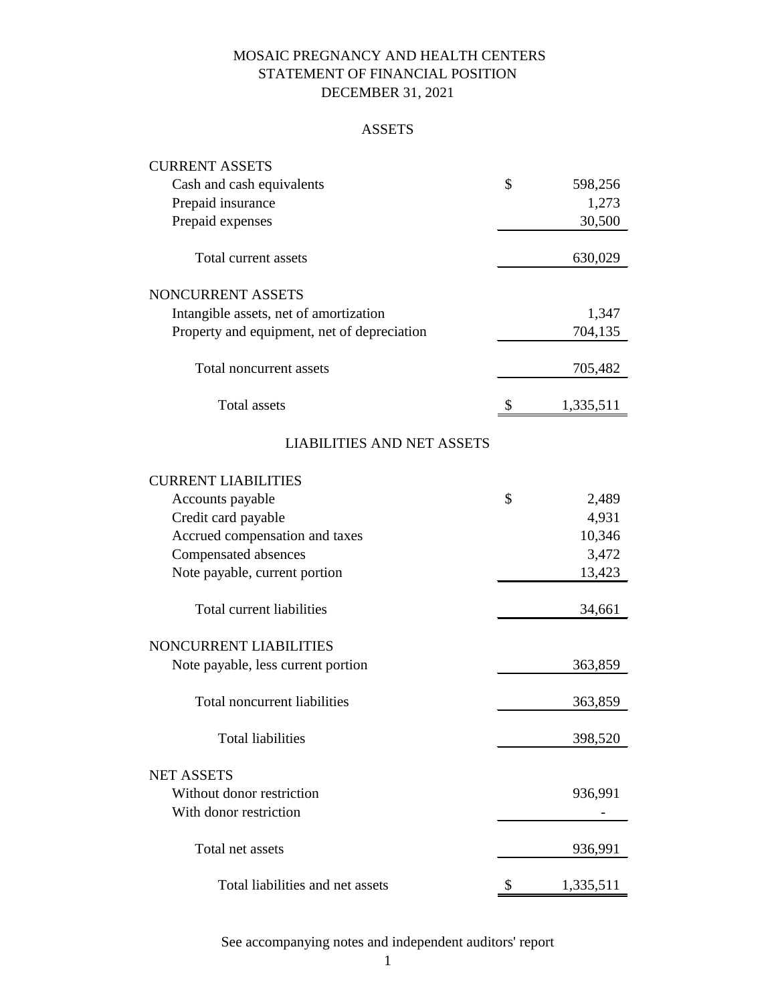# MOSAIC PREGNANCY AND HEALTH CENTERS STATEMENT OF FINANCIAL POSITION DECEMBER 31, 2021

# ASSETS

| <b>CURRENT ASSETS</b>                       |                 |
|---------------------------------------------|-----------------|
| Cash and cash equivalents                   | \$<br>598,256   |
| Prepaid insurance                           | 1,273           |
| Prepaid expenses                            | 30,500          |
| Total current assets                        | 630,029         |
| NONCURRENT ASSETS                           |                 |
| Intangible assets, net of amortization      | 1,347           |
| Property and equipment, net of depreciation | 704,135         |
|                                             |                 |
| Total noncurrent assets                     | 705,482         |
| <b>Total assets</b>                         | \$<br>1,335,511 |
| <b>LIABILITIES AND NET ASSETS</b>           |                 |
| <b>CURRENT LIABILITIES</b>                  |                 |
| Accounts payable                            | \$<br>2,489     |
| Credit card payable                         | 4,931           |
| Accrued compensation and taxes              | 10,346          |
| Compensated absences                        | 3,472           |
| Note payable, current portion               | 13,423          |
| <b>Total current liabilities</b>            | 34,661          |
| NONCURRENT LIABILITIES                      |                 |
| Note payable, less current portion          | 363,859         |
| Total noncurrent liabilities                | 363,859         |
| <b>Total liabilities</b>                    | 398,520         |
| <b>NET ASSETS</b>                           |                 |
| Without donor restriction                   | 936,991         |
| With donor restriction                      |                 |
|                                             |                 |
| Total net assets                            | 936,991         |
| Total liabilities and net assets            | \$<br>1,335,511 |

See accompanying notes and independent auditors' report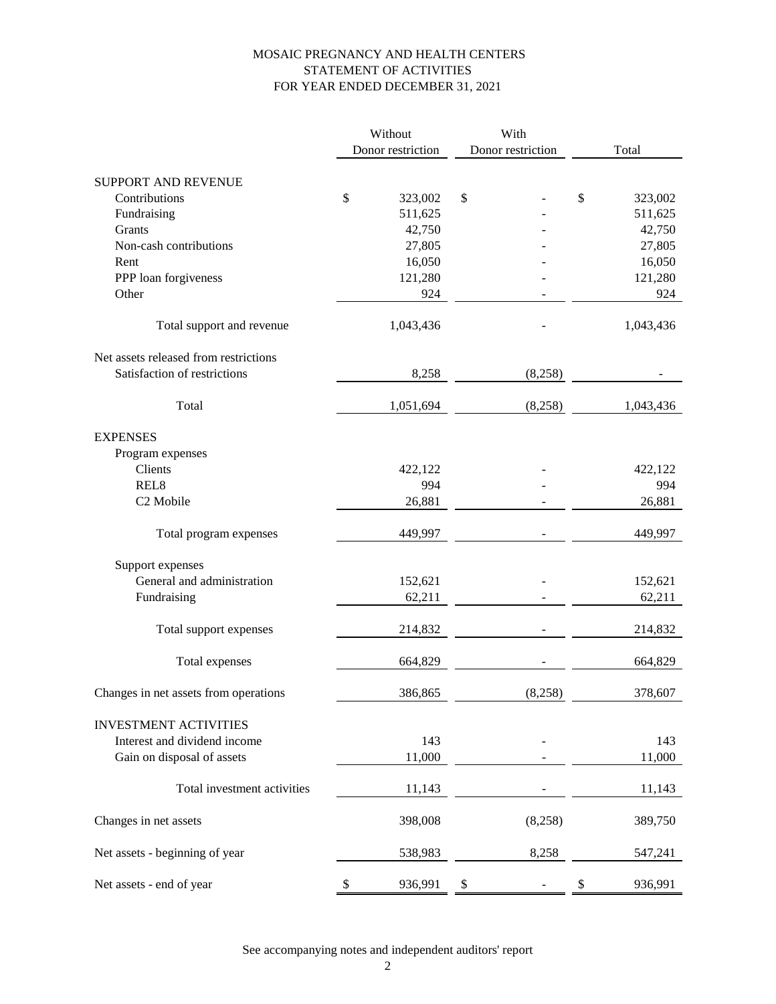# STATEMENT OF ACTIVITIES MOSAIC PREGNANCY AND HEALTH CENTERS FOR YEAR ENDED DECEMBER 31, 2021

|                                       | Without           |                  | With                      |        |                  |  |
|---------------------------------------|-------------------|------------------|---------------------------|--------|------------------|--|
|                                       | Donor restriction |                  | Donor restriction         |        | Total            |  |
|                                       |                   |                  |                           |        |                  |  |
| SUPPORT AND REVENUE<br>Contributions  | \$                | 323,002          | $\boldsymbol{\mathsf{S}}$ | \$     | 323,002          |  |
|                                       |                   | 511,625          |                           |        | 511,625          |  |
| Fundraising<br>Grants                 |                   | 42,750           |                           |        | 42,750           |  |
| Non-cash contributions                |                   |                  |                           |        |                  |  |
| Rent                                  |                   | 27,805<br>16,050 |                           |        | 27,805<br>16,050 |  |
|                                       |                   | 121,280          |                           |        | 121,280          |  |
| PPP loan forgiveness<br>Other         |                   | 924              |                           |        | 924              |  |
|                                       |                   |                  |                           |        |                  |  |
| Total support and revenue             |                   | 1,043,436        |                           |        | 1,043,436        |  |
| Net assets released from restrictions |                   |                  |                           |        |                  |  |
| Satisfaction of restrictions          |                   | 8,258            | (8,258)                   |        |                  |  |
| Total                                 |                   | 1,051,694        | (8,258)                   |        | 1,043,436        |  |
|                                       |                   |                  |                           |        |                  |  |
| <b>EXPENSES</b>                       |                   |                  |                           |        |                  |  |
| Program expenses                      |                   |                  |                           |        |                  |  |
| Clients                               |                   | 422,122          |                           |        | 422,122          |  |
| REL <sub>8</sub>                      |                   | 994              |                           |        | 994              |  |
| C <sub>2</sub> Mobile                 |                   | 26,881           |                           |        | 26,881           |  |
| Total program expenses                |                   | 449,997          | $\overline{\phantom{a}}$  |        | 449,997          |  |
| Support expenses                      |                   |                  |                           |        |                  |  |
| General and administration            |                   | 152,621          |                           |        | 152,621          |  |
| Fundraising                           |                   | 62,211           |                           |        | 62,211           |  |
|                                       |                   |                  |                           |        |                  |  |
| Total support expenses                |                   | 214,832          |                           |        | 214,832          |  |
| Total expenses                        |                   | 664,829          |                           |        | 664,829          |  |
| Changes in net assets from operations |                   | 386,865          | (8,258)                   |        | 378,607          |  |
|                                       |                   |                  |                           |        |                  |  |
| <b>INVESTMENT ACTIVITIES</b>          |                   |                  |                           |        |                  |  |
| Interest and dividend income          |                   | 143              |                           |        | 143              |  |
| Gain on disposal of assets            |                   | 11,000           |                           |        | 11,000           |  |
| Total investment activities           |                   | 11,143           |                           |        | 11,143           |  |
| Changes in net assets                 |                   | 398,008          | (8,258)                   |        | 389,750          |  |
| Net assets - beginning of year        |                   | 538,983          | 8,258                     |        | 547,241          |  |
|                                       |                   |                  |                           |        |                  |  |
| Net assets - end of year              | \$                | 936,991          | \$<br>$\sim$              | $\$\,$ | 936,991          |  |

See accompanying notes and independent auditors' report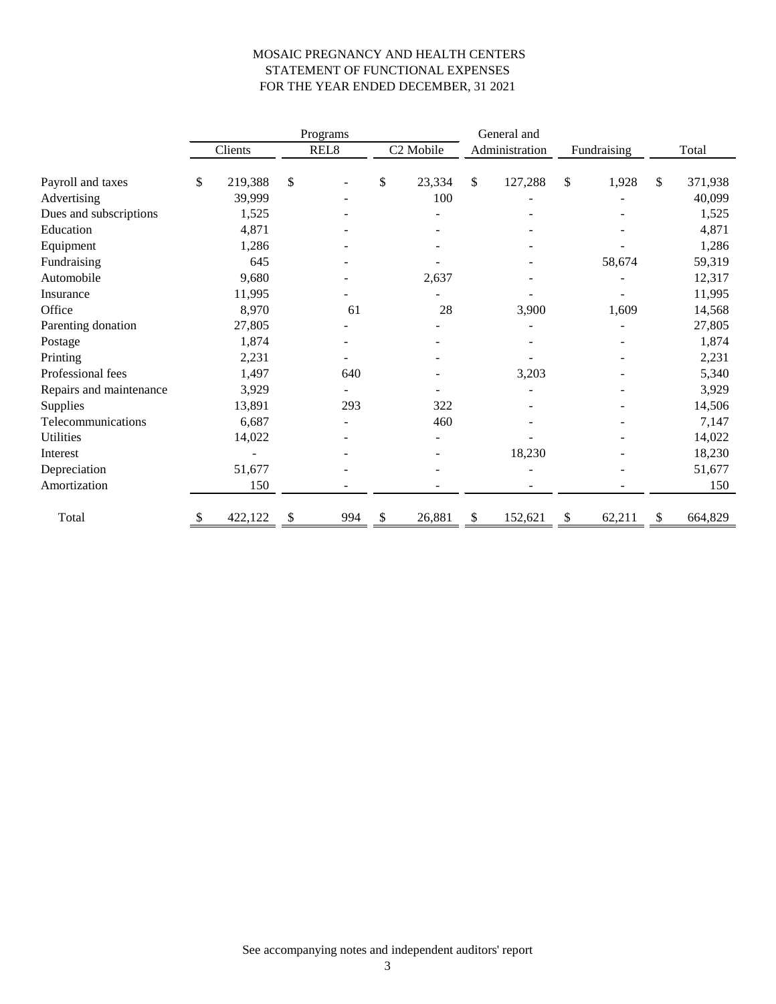# MOSAIC PREGNANCY AND HEALTH CENTERS STATEMENT OF FUNCTIONAL EXPENSES FOR THE YEAR ENDED DECEMBER, 31 2021

|                         | Programs |         |    |                  | General and |                       |                |         |             |        |    |         |
|-------------------------|----------|---------|----|------------------|-------------|-----------------------|----------------|---------|-------------|--------|----|---------|
|                         |          | Clients |    | REL <sub>8</sub> |             | C <sub>2</sub> Mobile | Administration |         | Fundraising |        |    | Total   |
| Payroll and taxes       | \$       | 219,388 | \$ |                  | \$          | 23,334                | \$             | 127,288 | \$          | 1,928  | \$ | 371,938 |
| Advertising             |          | 39,999  |    |                  |             | 100                   |                |         |             |        |    | 40,099  |
| Dues and subscriptions  |          | 1,525   |    |                  |             |                       |                |         |             |        |    | 1,525   |
| Education               |          | 4,871   |    |                  |             |                       |                |         |             |        |    | 4,871   |
| Equipment               |          | 1,286   |    |                  |             |                       |                |         |             |        |    | 1,286   |
| Fundraising             |          | 645     |    |                  |             |                       |                |         |             | 58,674 |    | 59,319  |
| Automobile              |          | 9,680   |    |                  |             | 2,637                 |                |         |             |        |    | 12,317  |
| Insurance               |          | 11,995  |    |                  |             |                       |                |         |             |        |    | 11,995  |
| Office                  |          | 8,970   |    | 61               |             | 28                    |                | 3,900   |             | 1,609  |    | 14,568  |
| Parenting donation      |          | 27,805  |    |                  |             |                       |                |         |             |        |    | 27,805  |
| Postage                 |          | 1,874   |    |                  |             |                       |                |         |             |        |    | 1,874   |
| Printing                |          | 2,231   |    |                  |             |                       |                |         |             |        |    | 2,231   |
| Professional fees       |          | 1,497   |    | 640              |             |                       |                | 3,203   |             |        |    | 5,340   |
| Repairs and maintenance |          | 3,929   |    |                  |             |                       |                |         |             |        |    | 3,929   |
| <b>Supplies</b>         |          | 13,891  |    | 293              |             | 322                   |                |         |             |        |    | 14,506  |
| Telecommunications      |          | 6,687   |    |                  |             | 460                   |                |         |             |        |    | 7,147   |
| <b>Utilities</b>        |          | 14,022  |    |                  |             |                       |                |         |             |        |    | 14,022  |
| Interest                |          |         |    |                  |             |                       |                | 18,230  |             |        |    | 18,230  |
| Depreciation            |          | 51,677  |    |                  |             |                       |                |         |             |        |    | 51,677  |
| Amortization            |          | 150     |    |                  |             |                       |                |         |             |        |    | 150     |
| Total                   | \$       | 422,122 | \$ | 994              | S           | 26,881                | \$             | 152,621 | \$          | 62,211 | \$ | 664,829 |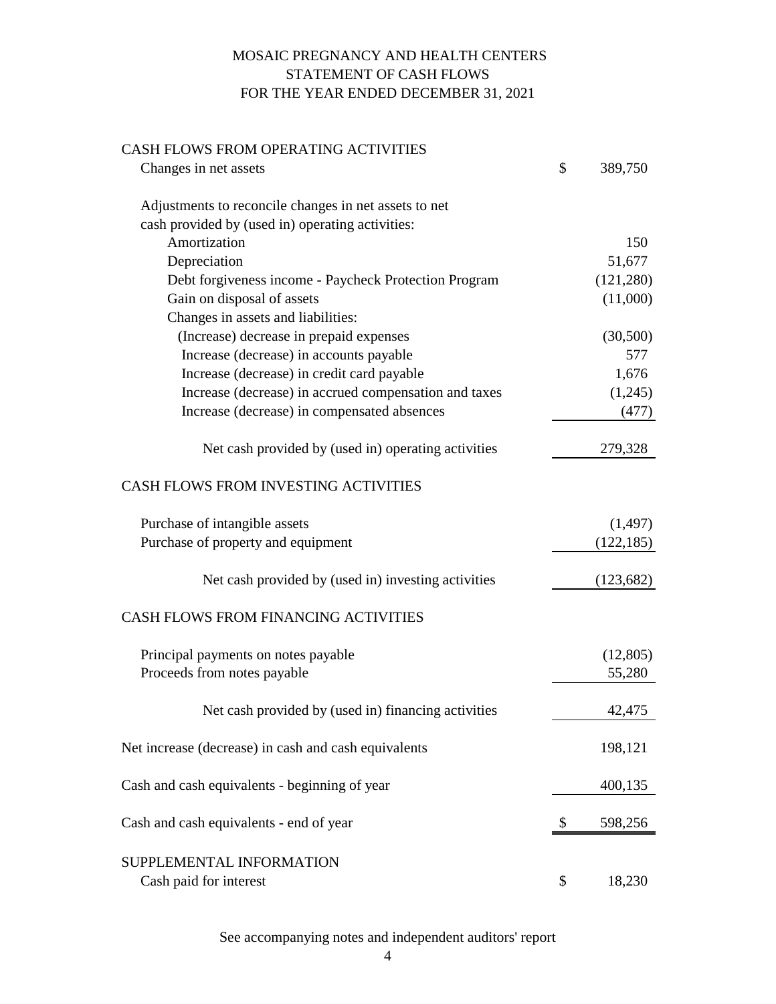# STATEMENT OF CASH FLOWS FOR THE YEAR ENDED DECEMBER 31, 2021 MOSAIC PREGNANCY AND HEALTH CENTERS

# CASH FLOWS FROM OPERATING ACTIVITIES

| Changes in net assets                                 | \$<br>389,750 |
|-------------------------------------------------------|---------------|
| Adjustments to reconcile changes in net assets to net |               |
| cash provided by (used in) operating activities:      |               |
| Amortization                                          | 150           |
| Depreciation                                          | 51,677        |
| Debt forgiveness income - Paycheck Protection Program | (121, 280)    |
| Gain on disposal of assets                            | (11,000)      |
| Changes in assets and liabilities:                    |               |
| (Increase) decrease in prepaid expenses               | (30,500)      |
| Increase (decrease) in accounts payable               | 577           |
| Increase (decrease) in credit card payable            | 1,676         |
| Increase (decrease) in accrued compensation and taxes | (1,245)       |
| Increase (decrease) in compensated absences           | (477)         |
| Net cash provided by (used in) operating activities   | 279,328       |
| CASH FLOWS FROM INVESTING ACTIVITIES                  |               |
| Purchase of intangible assets                         | (1, 497)      |
| Purchase of property and equipment                    | (122, 185)    |
| Net cash provided by (used in) investing activities   | (123, 682)    |
| CASH FLOWS FROM FINANCING ACTIVITIES                  |               |
| Principal payments on notes payable                   | (12,805)      |
| Proceeds from notes payable                           | 55,280        |
| Net cash provided by (used in) financing activities   | 42,475        |
| Net increase (decrease) in cash and cash equivalents  | 198,121       |
| Cash and cash equivalents - beginning of year         | 400,135       |
| Cash and cash equivalents - end of year               | \$<br>598,256 |
| SUPPLEMENTAL INFORMATION                              |               |
| Cash paid for interest                                | \$<br>18,230  |

See accompanying notes and independent auditors' report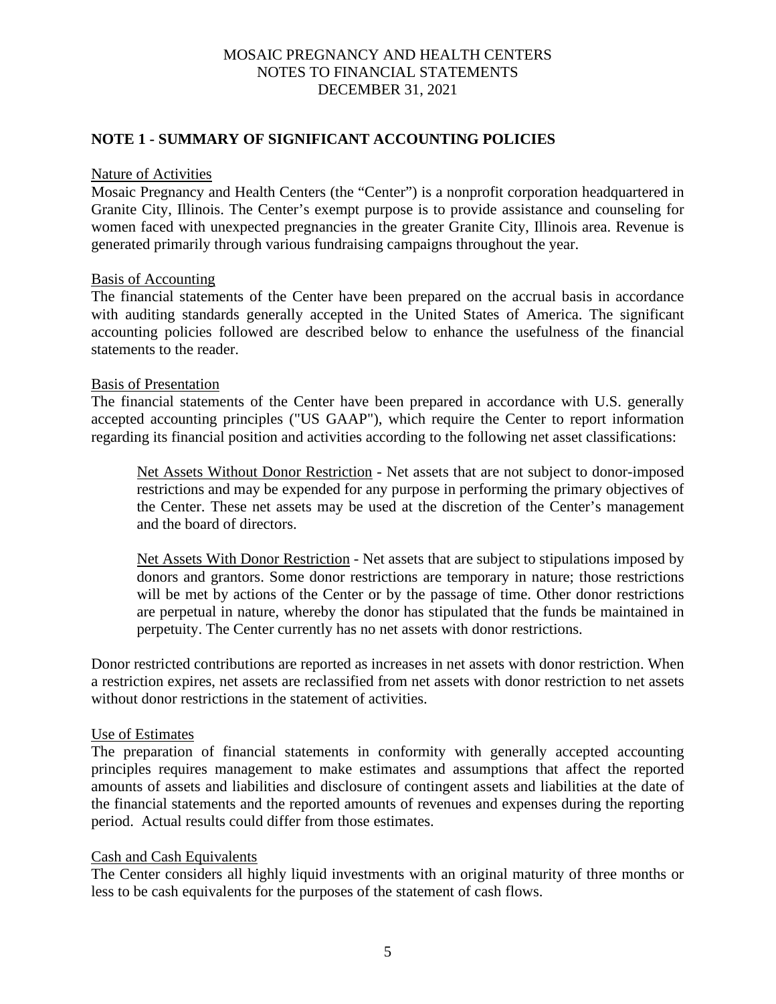# **NOTE 1 - SUMMARY OF SIGNIFICANT ACCOUNTING POLICIES**

#### Nature of Activities

Mosaic Pregnancy and Health Centers (the "Center") is a nonprofit corporation headquartered in Granite City, Illinois. The Center's exempt purpose is to provide assistance and counseling for women faced with unexpected pregnancies in the greater Granite City, Illinois area. Revenue is generated primarily through various fundraising campaigns throughout the year.

#### Basis of Accounting

The financial statements of the Center have been prepared on the accrual basis in accordance with auditing standards generally accepted in the United States of America. The significant accounting policies followed are described below to enhance the usefulness of the financial statements to the reader.

#### Basis of Presentation

The financial statements of the Center have been prepared in accordance with U.S. generally accepted accounting principles ("US GAAP"), which require the Center to report information regarding its financial position and activities according to the following net asset classifications:

Net Assets Without Donor Restriction - Net assets that are not subject to donor-imposed restrictions and may be expended for any purpose in performing the primary objectives of the Center. These net assets may be used at the discretion of the Center's management and the board of directors.

Net Assets With Donor Restriction - Net assets that are subject to stipulations imposed by donors and grantors. Some donor restrictions are temporary in nature; those restrictions will be met by actions of the Center or by the passage of time. Other donor restrictions are perpetual in nature, whereby the donor has stipulated that the funds be maintained in perpetuity. The Center currently has no net assets with donor restrictions.

Donor restricted contributions are reported as increases in net assets with donor restriction. When a restriction expires, net assets are reclassified from net assets with donor restriction to net assets without donor restrictions in the statement of activities.

## Use of Estimates

The preparation of financial statements in conformity with generally accepted accounting principles requires management to make estimates and assumptions that affect the reported amounts of assets and liabilities and disclosure of contingent assets and liabilities at the date of the financial statements and the reported amounts of revenues and expenses during the reporting period. Actual results could differ from those estimates.

## Cash and Cash Equivalents

The Center considers all highly liquid investments with an original maturity of three months or less to be cash equivalents for the purposes of the statement of cash flows.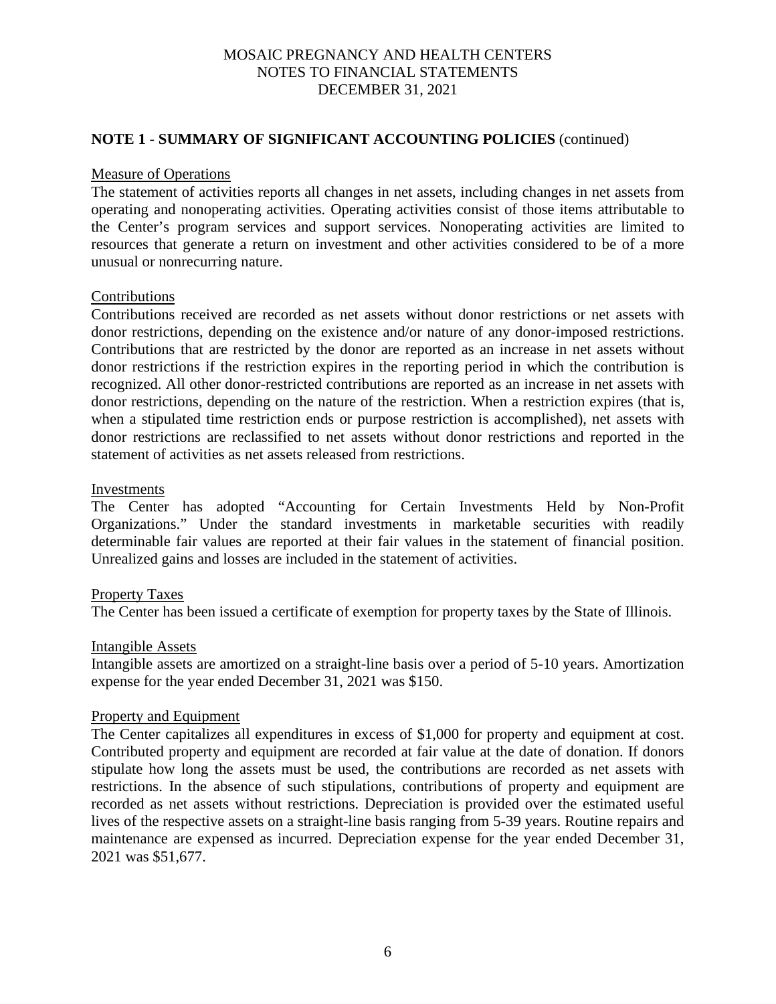# **NOTE 1 - SUMMARY OF SIGNIFICANT ACCOUNTING POLICIES** (continued)

#### Measure of Operations

The statement of activities reports all changes in net assets, including changes in net assets from operating and nonoperating activities. Operating activities consist of those items attributable to the Center's program services and support services. Nonoperating activities are limited to resources that generate a return on investment and other activities considered to be of a more unusual or nonrecurring nature.

#### **Contributions**

Contributions received are recorded as net assets without donor restrictions or net assets with donor restrictions, depending on the existence and/or nature of any donor-imposed restrictions. Contributions that are restricted by the donor are reported as an increase in net assets without donor restrictions if the restriction expires in the reporting period in which the contribution is recognized. All other donor-restricted contributions are reported as an increase in net assets with donor restrictions, depending on the nature of the restriction. When a restriction expires (that is, when a stipulated time restriction ends or purpose restriction is accomplished), net assets with donor restrictions are reclassified to net assets without donor restrictions and reported in the statement of activities as net assets released from restrictions.

#### Investments

The Center has adopted "Accounting for Certain Investments Held by Non-Profit Organizations." Under the standard investments in marketable securities with readily determinable fair values are reported at their fair values in the statement of financial position. Unrealized gains and losses are included in the statement of activities.

#### Property Taxes

The Center has been issued a certificate of exemption for property taxes by the State of Illinois.

#### Intangible Assets

Intangible assets are amortized on a straight-line basis over a period of 5-10 years. Amortization expense for the year ended December 31, 2021 was \$150.

#### Property and Equipment

The Center capitalizes all expenditures in excess of \$1,000 for property and equipment at cost. Contributed property and equipment are recorded at fair value at the date of donation. If donors stipulate how long the assets must be used, the contributions are recorded as net assets with restrictions. In the absence of such stipulations, contributions of property and equipment are recorded as net assets without restrictions. Depreciation is provided over the estimated useful lives of the respective assets on a straight-line basis ranging from 5-39 years. Routine repairs and maintenance are expensed as incurred. Depreciation expense for the year ended December 31, 2021 was \$51,677.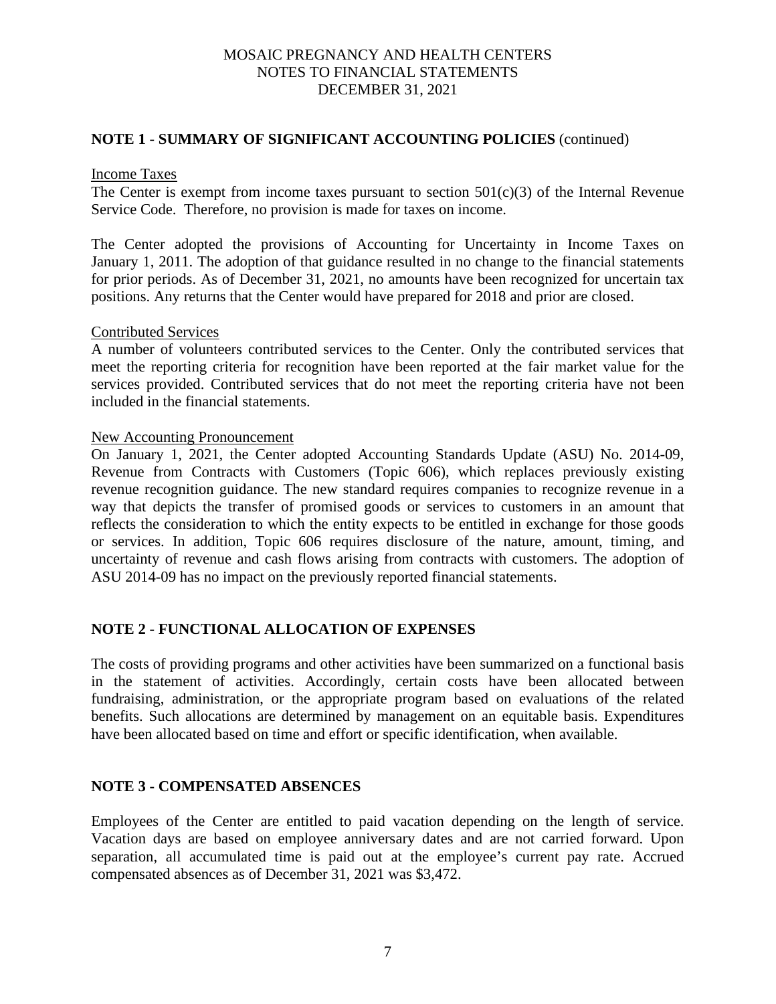### **NOTE 1 - SUMMARY OF SIGNIFICANT ACCOUNTING POLICIES** (continued)

#### Income Taxes

The Center is exempt from income taxes pursuant to section  $501(c)(3)$  of the Internal Revenue Service Code. Therefore, no provision is made for taxes on income.

The Center adopted the provisions of Accounting for Uncertainty in Income Taxes on January 1, 2011. The adoption of that guidance resulted in no change to the financial statements for prior periods. As of December 31, 2021, no amounts have been recognized for uncertain tax positions. Any returns that the Center would have prepared for 2018 and prior are closed.

#### Contributed Services

A number of volunteers contributed services to the Center. Only the contributed services that meet the reporting criteria for recognition have been reported at the fair market value for the services provided. Contributed services that do not meet the reporting criteria have not been included in the financial statements.

#### New Accounting Pronouncement

On January 1, 2021, the Center adopted Accounting Standards Update (ASU) No. 2014-09, Revenue from Contracts with Customers (Topic 606), which replaces previously existing revenue recognition guidance. The new standard requires companies to recognize revenue in a way that depicts the transfer of promised goods or services to customers in an amount that reflects the consideration to which the entity expects to be entitled in exchange for those goods or services. In addition, Topic 606 requires disclosure of the nature, amount, timing, and uncertainty of revenue and cash flows arising from contracts with customers. The adoption of ASU 2014-09 has no impact on the previously reported financial statements.

#### **NOTE 2 - FUNCTIONAL ALLOCATION OF EXPENSES**

The costs of providing programs and other activities have been summarized on a functional basis in the statement of activities. Accordingly, certain costs have been allocated between fundraising, administration, or the appropriate program based on evaluations of the related benefits. Such allocations are determined by management on an equitable basis. Expenditures have been allocated based on time and effort or specific identification, when available.

#### **NOTE 3 - COMPENSATED ABSENCES**

Employees of the Center are entitled to paid vacation depending on the length of service. Vacation days are based on employee anniversary dates and are not carried forward. Upon separation, all accumulated time is paid out at the employee's current pay rate. Accrued compensated absences as of December 31, 2021 was \$3,472.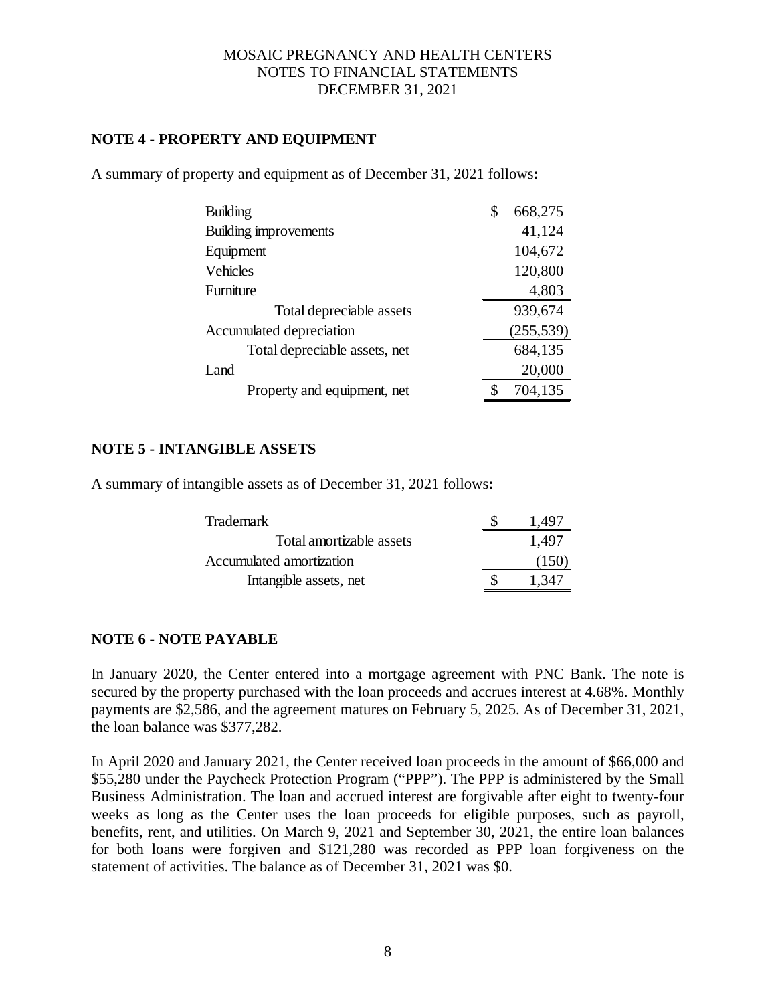# **NOTE 4 - PROPERTY AND EQUIPMENT**

A summary of property and equipment as of December 31, 2021 follows**:** 

| <b>Building</b>               | S | 668,275    |
|-------------------------------|---|------------|
| Building improvements         |   | 41,124     |
| Equipment                     |   | 104,672    |
| Vehicles                      |   | 120,800    |
| Furniture                     |   | 4,803      |
| Total depreciable assets      |   | 939,674    |
| Accumulated depreciation      |   | (255, 539) |
| Total depreciable assets, net |   | 684,135    |
| L <sub>and</sub>              |   | 20,000     |
| Property and equipment, net   |   | 704,135    |

# **NOTE 5 - INTANGIBLE ASSETS**

A summary of intangible assets as of December 31, 2021 follows**:** 

| Trademark                | 1.497 |
|--------------------------|-------|
| Total amortizable assets | 1.497 |
| Accumulated amortization | (150) |
| Intangible assets, net   |       |

# **NOTE 6 - NOTE PAYABLE**

In January 2020, the Center entered into a mortgage agreement with PNC Bank. The note is secured by the property purchased with the loan proceeds and accrues interest at 4.68%. Monthly payments are \$2,586, and the agreement matures on February 5, 2025. As of December 31, 2021, the loan balance was \$377,282.

In April 2020 and January 2021, the Center received loan proceeds in the amount of \$66,000 and \$55,280 under the Paycheck Protection Program ("PPP"). The PPP is administered by the Small Business Administration. The loan and accrued interest are forgivable after eight to twenty-four weeks as long as the Center uses the loan proceeds for eligible purposes, such as payroll, benefits, rent, and utilities. On March 9, 2021 and September 30, 2021, the entire loan balances for both loans were forgiven and \$121,280 was recorded as PPP loan forgiveness on the statement of activities. The balance as of December 31, 2021 was \$0.